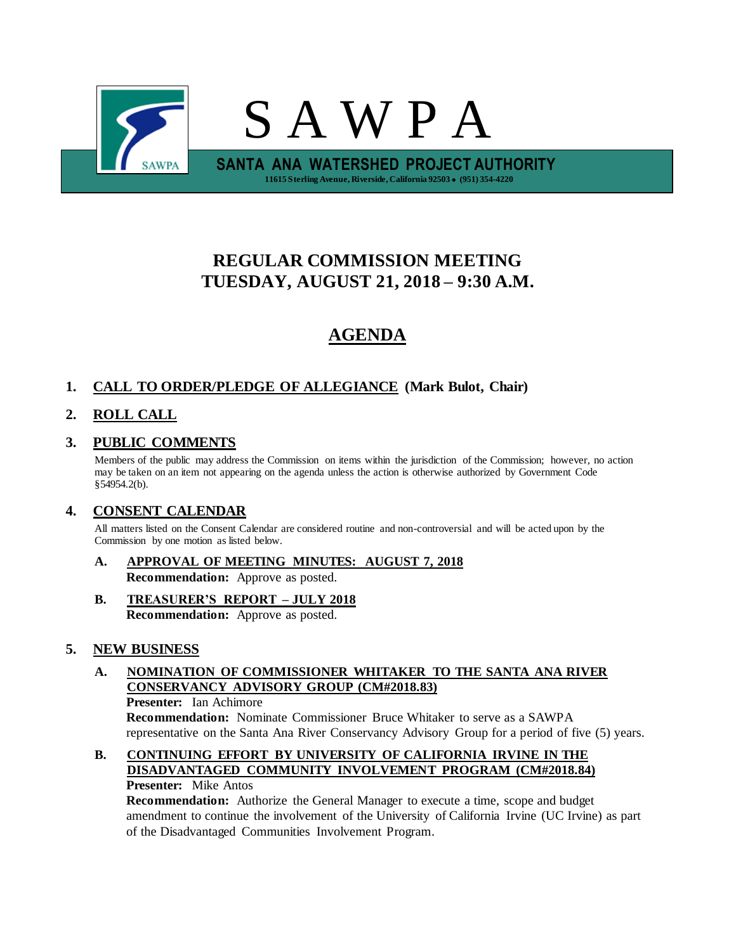

# **REGULAR COMMISSION MEETING TUESDAY, AUGUST 21, 2018 – 9:30 A.M.**

# **AGENDA**

# **1. CALL TO ORDER/PLEDGE OF ALLEGIANCE (Mark Bulot, Chair)**

# **2. ROLL CALL**

# **3. PUBLIC COMMENTS**

Members of the public may address the Commission on items within the jurisdiction of the Commission; however, no action may be taken on an item not appearing on the agenda unless the action is otherwise authorized by Government Code §54954.2(b).

# **4. CONSENT CALENDAR**

All matters listed on the Consent Calendar are considered routine and non-controversial and will be acted upon by the Commission by one motion as listed below.

- **A. APPROVAL OF MEETING MINUTES: AUGUST 7, 2018 Recommendation:** Approve as posted.
- **B. TREASURER'S REPORT – JULY 2018 Recommendation:** Approve as posted.

## **5. NEW BUSINESS**

## **A. NOMINATION OF COMMISSIONER WHITAKER TO THE SANTA ANA RIVER CONSERVANCY ADVISORY GROUP (CM#2018.83)**

**Presenter:** Ian Achimore

**Recommendation:** Nominate Commissioner Bruce Whitaker to serve as a SAWPA representative on the Santa Ana River Conservancy Advisory Group for a period of five (5) years.

#### **B. CONTINUING EFFORT BY UNIVERSITY OF CALIFORNIA IRVINE IN THE DISADVANTAGED COMMUNITY INVOLVEMENT PROGRAM (CM#2018.84) Presenter:** Mike Antos

**Recommendation:** Authorize the General Manager to execute a time, scope and budget amendment to continue the involvement of the University of California Irvine (UC Irvine) as part of the Disadvantaged Communities Involvement Program.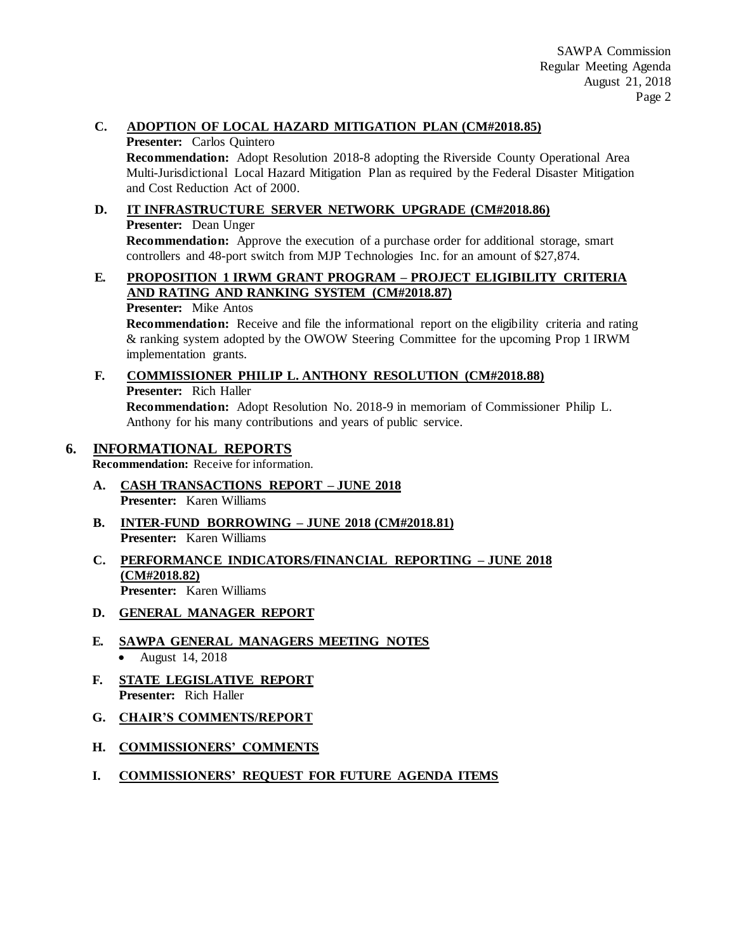### **C. ADOPTION OF LOCAL HAZARD MITIGATION PLAN (CM#2018.85)**

#### **Presenter:** Carlos Quintero

**Recommendation:** Adopt Resolution 2018-8 adopting the Riverside County Operational Area Multi-Jurisdictional Local Hazard Mitigation Plan as required by the Federal Disaster Mitigation and Cost Reduction Act of 2000.

### **D. IT INFRASTRUCTURE SERVER NETWORK UPGRADE (CM#2018.86)**

**Presenter:** Dean Unger

**Recommendation:** Approve the execution of a purchase order for additional storage, smart controllers and 48-port switch from MJP Technologies Inc. for an amount of \$27,874.

# **E. PROPOSITION 1 IRWM GRANT PROGRAM – PROJECT ELIGIBILITY CRITERIA AND RATING AND RANKING SYSTEM (CM#2018.87)**

**Presenter:** Mike Antos

**Recommendation:** Receive and file the informational report on the eligibility criteria and rating & ranking system adopted by the OWOW Steering Committee for the upcoming Prop 1 IRWM implementation grants.

#### **F. COMMISSIONER PHILIP L. ANTHONY RESOLUTION (CM#2018.88) Presenter:** Rich Haller **Recommendation:** Adopt Resolution No. 2018-9 in memoriam of Commissioner Philip L. Anthony for his many contributions and years of public service.

## **6. INFORMATIONAL REPORTS**

**Recommendation:** Receive for information.

- **A. CASH TRANSACTIONS REPORT – JUNE 2018 Presenter:** Karen Williams
- **B. INTER-FUND BORROWING – JUNE 2018 (CM#2018.81) Presenter:** Karen Williams
- **C. PERFORMANCE INDICATORS/FINANCIAL REPORTING – JUNE 2018 (CM#2018.82) Presenter:** Karen Williams
- **D. GENERAL MANAGER REPORT**
- **E. SAWPA GENERAL MANAGERS MEETING NOTES** • August 14, 2018
- **F. STATE LEGISLATIVE REPORT Presenter:** Rich Haller
- **G. CHAIR'S COMMENTS/REPORT**
- **H. COMMISSIONERS' COMMENTS**
- **I. COMMISSIONERS' REQUEST FOR FUTURE AGENDA ITEMS**